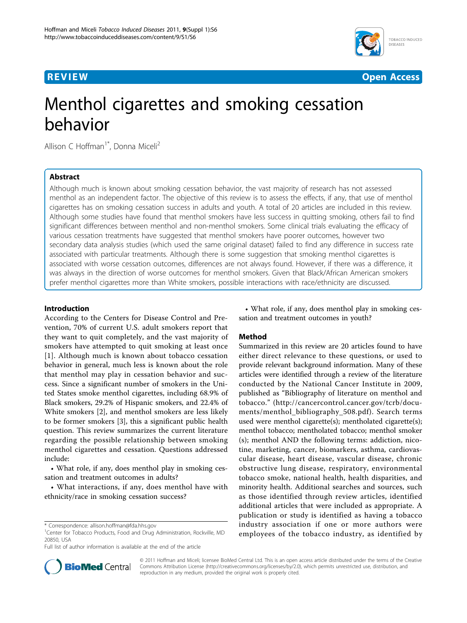



# Menthol cigarettes and smoking cessation behavior

Allison C Hoffman<sup>1\*</sup>, Donna Miceli<sup>2</sup>

# Abstract

Although much is known about smoking cessation behavior, the vast majority of research has not assessed menthol as an independent factor. The objective of this review is to assess the effects, if any, that use of menthol cigarettes has on smoking cessation success in adults and youth. A total of 20 articles are included in this review. Although some studies have found that menthol smokers have less success in quitting smoking, others fail to find significant differences between menthol and non-menthol smokers. Some clinical trials evaluating the efficacy of various cessation treatments have suggested that menthol smokers have poorer outcomes, however two secondary data analysis studies (which used the same original dataset) failed to find any difference in success rate associated with particular treatments. Although there is some suggestion that smoking menthol cigarettes is associated with worse cessation outcomes, differences are not always found. However, if there was a difference, it was always in the direction of worse outcomes for menthol smokers. Given that Black/African American smokers prefer menthol cigarettes more than White smokers, possible interactions with race/ethnicity are discussed.

# Introduction

According to the Centers for Disease Control and Prevention, 70% of current U.S. adult smokers report that they want to quit completely, and the vast majority of smokers have attempted to quit smoking at least once [[1](#page-4-0)]. Although much is known about tobacco cessation behavior in general, much less is known about the role that menthol may play in cessation behavior and success. Since a significant number of smokers in the United States smoke menthol cigarettes, including 68.9% of Black smokers, 29.2% of Hispanic smokers, and 22.4% of White smokers [[2\]](#page-4-0), and menthol smokers are less likely to be former smokers [[3](#page-4-0)], this a significant public health question. This review summarizes the current literature regarding the possible relationship between smoking menthol cigarettes and cessation. Questions addressed include:

• What role, if any, does menthol play in smoking cessation and treatment outcomes in adults?

• What interactions, if any, does menthol have with ethnicity/race in smoking cessation success?

Full list of author information is available at the end of the article



# Method

Summarized in this review are 20 articles found to have either direct relevance to these questions, or used to provide relevant background information. Many of these articles were identified through a review of the literature conducted by the National Cancer Institute in 2009, published as "Bibliography of literature on menthol and tobacco." ([http://cancercontrol.cancer.gov/tcrb/docu](http://cancercontrol.cancer.gov/tcrb/documents/menthol_bibliography_508.pdf)[ments/menthol\\_bibliography\\_508.pdf\)](http://cancercontrol.cancer.gov/tcrb/documents/menthol_bibliography_508.pdf). Search terms used were menthol cigarette(s); mentholated cigarette(s); menthol tobacco; mentholated tobacco; menthol smoker (s); menthol AND the following terms: addiction, nicotine, marketing, cancer, biomarkers, asthma, cardiovascular disease, heart disease, vascular disease, chronic obstructive lung disease, respiratory, environmental tobacco smoke, national health, health disparities, and minority health. Additional searches and sources, such as those identified through review articles, identified additional articles that were included as appropriate. A publication or study is identified as having a tobacco industry association if one or more authors were employees of the tobacco industry, as identified by



© 2011 Hoffman and Miceli; licensee BioMed Central Ltd. This is an open access article distributed under the terms of the Creative Commons Attribution License [\(http://creativecommons.org/licenses/by/2.0](http://creativecommons.org/licenses/by/2.0)), which permits unrestricted use, distribution, and reproduction in any medium, provided the original work is properly cited.

<sup>\*</sup> Correspondence: [allison.hoffman@fda.hhs.gov](mailto:allison.hoffman@fda.hhs.gov)

<sup>&</sup>lt;sup>1</sup>Center for Tobacco Products, Food and Drug Administration, Rockville, MD 20850, USA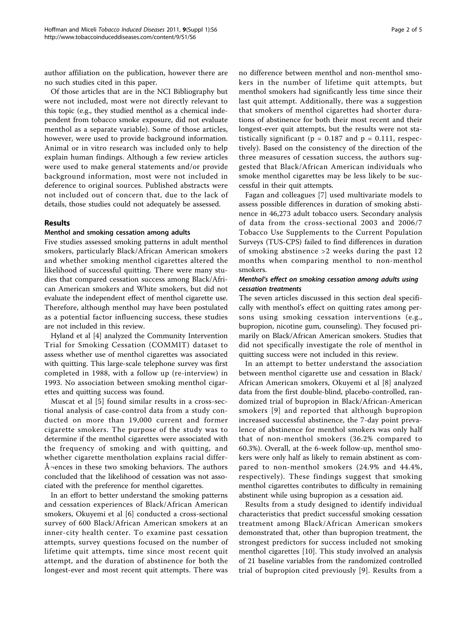author affiliation on the publication, however there are no such studies cited in this paper.

Of those articles that are in the NCI Bibliography but were not included, most were not directly relevant to this topic (e.g., they studied menthol as a chemical independent from tobacco smoke exposure, did not evaluate menthol as a separate variable). Some of those articles, however, were used to provide background information. Animal or in vitro research was included only to help explain human findings. Although a few review articles were used to make general statements and/or provide background information, most were not included in deference to original sources. Published abstracts were not included out of concern that, due to the lack of details, those studies could not adequately be assessed.

### Results

#### Menthol and smoking cessation among adults

Five studies assessed smoking patterns in adult menthol smokers, particularly Black/African American smokers and whether smoking menthol cigarettes altered the likelihood of successful quitting. There were many studies that compared cessation success among Black/African American smokers and White smokers, but did not evaluate the independent effect of menthol cigarette use. Therefore, although menthol may have been postulated as a potential factor influencing success, these studies are not included in this review.

Hyland et al [[4\]](#page-4-0) analyzed the Community Intervention Trial for Smoking Cessation (COMMIT) dataset to assess whether use of menthol cigarettes was associated with quitting. This large-scale telephone survey was first completed in 1988, with a follow up (re-interview) in 1993. No association between smoking menthol cigarettes and quitting success was found.

Muscat et al [[5\]](#page-4-0) found similar results in a cross-sectional analysis of case-control data from a study conducted on more than 19,000 current and former cigarette smokers. The purpose of the study was to determine if the menthol cigarettes were associated with the frequency of smoking and with quitting, and whether cigarette mentholation explains racial differ- $\hat{A}$ -ences in these two smoking behaviors. The authors concluded that the likelihood of cessation was not associated with the preference for menthol cigarettes.

In an effort to better understand the smoking patterns and cessation experiences of Black/African American smokers, Okuyemi et al [[6\]](#page-4-0) conducted a cross-sectional survey of 600 Black/African American smokers at an inner-city health center. To examine past cessation attempts, survey questions focused on the number of lifetime quit attempts, time since most recent quit attempt, and the duration of abstinence for both the longest-ever and most recent quit attempts. There was no difference between menthol and non-menthol smokers in the number of lifetime quit attempts, but menthol smokers had significantly less time since their last quit attempt. Additionally, there was a suggestion that smokers of menthol cigarettes had shorter durations of abstinence for both their most recent and their longest-ever quit attempts, but the results were not statistically significant ( $p = 0.187$  and  $p = 0.111$ , respectively). Based on the consistency of the direction of the three measures of cessation success, the authors suggested that Black/African American individuals who smoke menthol cigarettes may be less likely to be successful in their quit attempts.

Fagan and colleagues [[7\]](#page-4-0) used multivariate models to assess possible differences in duration of smoking abstinence in 46,273 adult tobacco users. Secondary analysis of data from the cross-sectional 2003 and 2006/7 Tobacco Use Supplements to the Current Population Surveys (TUS-CPS) failed to find differences in duration of smoking abstinence >2 weeks during the past 12 months when comparing menthol to non-menthol smokers.

### Menthol's effect on smoking cessation among adults using cessation treatments

The seven articles discussed in this section deal specifically with menthol's effect on quitting rates among persons using smoking cessation interventions (e.g., bupropion, nicotine gum, counseling). They focused primarily on Black/African American smokers. Studies that did not specifically investigate the role of menthol in quitting success were not included in this review.

In an attempt to better understand the association between menthol cigarette use and cessation in Black/ African American smokers, Okuyemi et al [[8\]](#page-4-0) analyzed data from the first double-blind, placebo-controlled, randomized trial of bupropion in Black/African-American smokers [[9](#page-4-0)] and reported that although bupropion increased successful abstinence, the 7-day point prevalence of abstinence for menthol smokers was only half that of non-menthol smokers (36.2% compared to 60.3%). Overall, at the 6-week follow-up, menthol smokers were only half as likely to remain abstinent as compared to non-menthol smokers (24.9% and 44.4%, respectively). These findings suggest that smoking menthol cigarettes contributes to difficulty in remaining abstinent while using bupropion as a cessation aid.

Results from a study designed to identify individual characteristics that predict successful smoking cessation treatment among Black/African American smokers demonstrated that, other than bupropion treatment, the strongest predictors for success included not smoking menthol cigarettes [[10\]](#page-4-0). This study involved an analysis of 21 baseline variables from the randomized controlled trial of bupropion cited previously [[9](#page-4-0)]. Results from a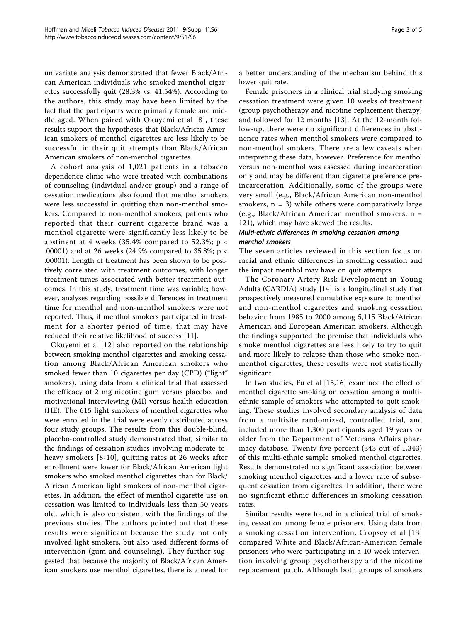univariate analysis demonstrated that fewer Black/African American individuals who smoked menthol cigarettes successfully quit (28.3% vs. 41.54%). According to the authors, this study may have been limited by the fact that the participants were primarily female and middle aged. When paired with Okuyemi et al [\[8\]](#page-4-0), these results support the hypotheses that Black/African American smokers of menthol cigarettes are less likely to be successful in their quit attempts than Black/African American smokers of non-menthol cigarettes.

A cohort analysis of 1,021 patients in a tobacco dependence clinic who were treated with combinations of counseling (individual and/or group) and a range of cessation medications also found that menthol smokers were less successful in quitting than non-menthol smokers. Compared to non-menthol smokers, patients who reported that their current cigarette brand was a menthol cigarette were significantly less likely to be abstinent at 4 weeks (35.4% compared to 52.3%;  $p <$ .00001) and at 26 weeks (24.9% compared to 35.8%; p < .00001). Length of treatment has been shown to be positively correlated with treatment outcomes, with longer treatment times associated with better treatment outcomes. In this study, treatment time was variable; however, analyses regarding possible differences in treatment time for menthol and non-menthol smokers were not reported. Thus, if menthol smokers participated in treatment for a shorter period of time, that may have reduced their relative likelihood of success [[11\]](#page-4-0).

Okuyemi et al [\[12\]](#page-4-0) also reported on the relationship between smoking menthol cigarettes and smoking cessation among Black/African American smokers who smoked fewer than 10 cigarettes per day (CPD) ("light" smokers), using data from a clinical trial that assessed the efficacy of 2 mg nicotine gum versus placebo, and motivational interviewing (MI) versus health education (HE). The 615 light smokers of menthol cigarettes who were enrolled in the trial were evenly distributed across four study groups. The results from this double-blind, placebo-controlled study demonstrated that, similar to the findings of cessation studies involving moderate-toheavy smokers [[8-10\]](#page-4-0), quitting rates at 26 weeks after enrollment were lower for Black/African American light smokers who smoked menthol cigarettes than for Black/ African American light smokers of non-menthol cigarettes. In addition, the effect of menthol cigarette use on cessation was limited to individuals less than 50 years old, which is also consistent with the findings of the previous studies. The authors pointed out that these results were significant because the study not only involved light smokers, but also used different forms of intervention (gum and counseling). They further suggested that because the majority of Black/African American smokers use menthol cigarettes, there is a need for a better understanding of the mechanism behind this lower quit rate.

Female prisoners in a clinical trial studying smoking cessation treatment were given 10 weeks of treatment (group psychotherapy and nicotine replacement therapy) and followed for 12 months [[13\]](#page-4-0). At the 12-month follow-up, there were no significant differences in abstinence rates when menthol smokers were compared to non-menthol smokers. There are a few caveats when interpreting these data, however. Preference for menthol versus non-menthol was assessed during incarceration only and may be different than cigarette preference preincarceration. Additionally, some of the groups were very small (e.g., Black/African American non-menthol smokers,  $n = 3$ ) while others were comparatively large (e.g., Black/African American menthol smokers, n = 121), which may have skewed the results.

# Multi-ethnic differences in smoking cessation among menthol smokers

The seven articles reviewed in this section focus on racial and ethnic differences in smoking cessation and the impact menthol may have on quit attempts.

The Coronary Artery Risk Development in Young Adults (CARDIA) study [[14](#page-4-0)] is a longitudinal study that prospectively measured cumulative exposure to menthol and non-menthol cigarettes and smoking cessation behavior from 1985 to 2000 among 5,115 Black/African American and European American smokers. Although the findings supported the premise that individuals who smoke menthol cigarettes are less likely to try to quit and more likely to relapse than those who smoke nonmenthol cigarettes, these results were not statistically significant.

In two studies, Fu et al [\[15](#page-4-0),[16\]](#page-4-0) examined the effect of menthol cigarette smoking on cessation among a multiethnic sample of smokers who attempted to quit smoking. These studies involved secondary analysis of data from a multisite randomized, controlled trial, and included more than 1,300 participants aged 19 years or older from the Department of Veterans Affairs pharmacy database. Twenty-five percent (343 out of 1,343) of this multi-ethnic sample smoked menthol cigarettes. Results demonstrated no significant association between smoking menthol cigarettes and a lower rate of subsequent cessation from cigarettes. In addition, there were no significant ethnic differences in smoking cessation rates.

Similar results were found in a clinical trial of smoking cessation among female prisoners. Using data from a smoking cessation intervention, Cropsey et al [[13](#page-4-0)] compared White and Black/African-American female prisoners who were participating in a 10-week intervention involving group psychotherapy and the nicotine replacement patch. Although both groups of smokers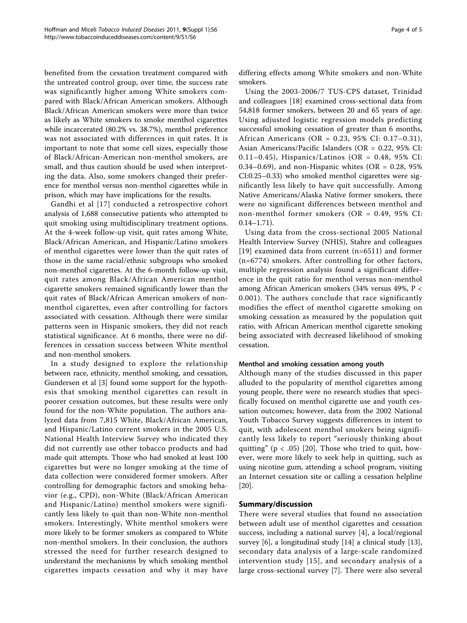benefited from the cessation treatment compared with the untreated control group, over time, the success rate was significantly higher among White smokers compared with Black/African American smokers. Although Black/African American smokers were more than twice as likely as White smokers to smoke menthol cigarettes while incarcerated (80.2% vs. 38.7%), menthol preference was not associated with differences in quit rates. It is important to note that some cell sizes, especially those of Black/African-American non-menthol smokers, are small, and thus caution should be used when interpreting the data. Also, some smokers changed their preference for menthol versus non-menthol cigarettes while in prison, which may have implications for the results.

Gandhi et al [[17](#page-4-0)] conducted a retrospective cohort analysis of 1,688 consecutive patients who attempted to quit smoking using multidisciplinary treatment options. At the 4-week follow-up visit, quit rates among White, Black/African American, and Hispanic/Latino smokers of menthol cigarettes were lower than the quit rates of those in the same racial/ethnic subgroups who smoked non-menthol cigarettes. At the 6-month follow-up visit, quit rates among Black/African American menthol cigarette smokers remained significantly lower than the quit rates of Black/African American smokers of nonmenthol cigarettes, even after controlling for factors associated with cessation. Although there were similar patterns seen in Hispanic smokers, they did not reach statistical significance. At 6 months, there were no differences in cessation success between White menthol and non-menthol smokers.

In a study designed to explore the relationship between race, ethnicity, menthol smoking, and cessation, Gundersen et al [\[3](#page-4-0)] found some support for the hypothesis that smoking menthol cigarettes can result in poorer cessation outcomes, but these results were only found for the non-White population. The authors analyzed data from 7,815 White, Black/African American, and Hispanic/Latino current smokers in the 2005 U.S. National Health Interview Survey who indicated they did not currently use other tobacco products and had made quit attempts. Those who had smoked at least 100 cigarettes but were no longer smoking at the time of data collection were considered former smokers. After controlling for demographic factors and smoking behavior (e.g., CPD), non-White (Black/African American and Hispanic/Latino) menthol smokers were significantly less likely to quit than non-White non-menthol smokers. Interestingly, White menthol smokers were more likely to be former smokers as compared to White non-menthol smokers. In their conclusion, the authors stressed the need for further research designed to understand the mechanisms by which smoking menthol cigarettes impacts cessation and why it may have differing effects among White smokers and non-White smokers.

Using the 2003-2006/7 TUS-CPS dataset, Trinidad and colleagues [[18\]](#page-4-0) examined cross-sectional data from 54,818 former smokers, between 20 and 65 years of age. Using adjusted logistic regression models predicting successful smoking cessation of greater than 6 months, African Americans (OR = 0.23, 95% CI: 0.17–0.31), Asian Americans/Pacific Islanders (OR = 0.22, 95% CI: 0.11–0.45), Hispanics/Latinos (OR =  $0.48$ , 95% CI: 0.34–0.69), and non-Hispanic whites (OR =  $0.28$ , 95% CI:0.25–0.33) who smoked menthol cigarettes were significantly less likely to have quit successfully. Among Native Americans/Alaska Native former smokers, there were no significant differences between menthol and non-menthol former smokers (OR = 0.49, 95% CI:  $0.14 - 1.71$ .

Using data from the cross-sectional 2005 National Health Interview Survey (NHIS), Stahre and colleagues [[19](#page-4-0)] examined data from current (n=6511) and former (n=6774) smokers. After controlling for other factors, multiple regression analysis found a significant difference in the quit ratio for menthol versus non-menthol among African American smokers (34% versus 49%, P < 0.001). The authors conclude that race significantly modifies the effect of menthol cigarette smoking on smoking cessation as measured by the population quit ratio, with African American menthol cigarette smoking being associated with decreased likelihood of smoking cessation.

#### Menthol and smoking cessation among youth

Although many of the studies discussed in this paper alluded to the popularity of menthol cigarettes among young people, there were no research studies that specifically focused on menthol cigarette use and youth cessation outcomes; however, data from the 2002 National Youth Tobacco Survey suggests differences in intent to quit, with adolescent menthol smokers being significantly less likely to report "seriously thinking about quitting" ( $p < .05$ ) [[20](#page-4-0)]. Those who tried to quit, however, were more likely to seek help in quitting, such as using nicotine gum, attending a school program, visiting an Internet cessation site or calling a cessation helpline [[20\]](#page-4-0).

#### Summary/discussion

There were several studies that found no association between adult use of menthol cigarettes and cessation success, including a national survey [[4\]](#page-4-0), a local/regional survey [\[6](#page-4-0)], a longitudinal study [[14\]](#page-4-0) a clinical study [\[13](#page-4-0)], secondary data analysis of a large-scale randomized intervention study [[15](#page-4-0)], and secondary analysis of a large cross-sectional survey [[7\]](#page-4-0). There were also several